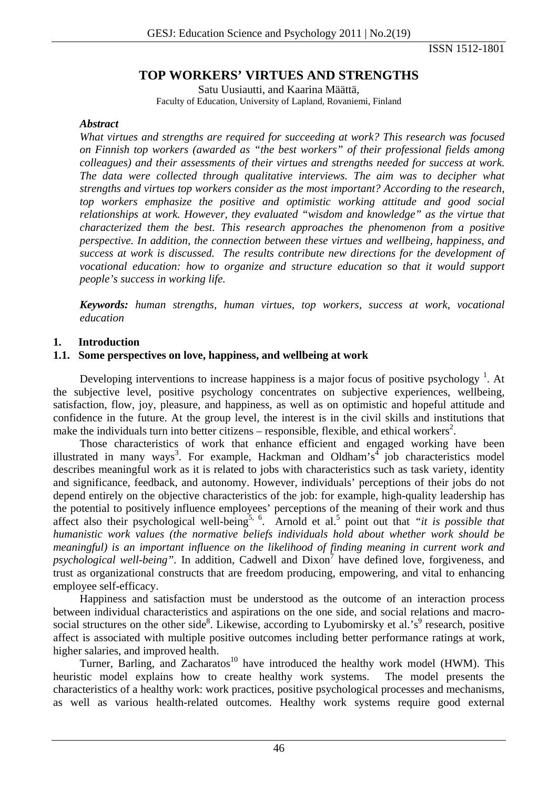ISSN 1512-1801

# **TOP WORKERS' VIRTUES AND STRENGTHS**

Satu Uusiautti, and Kaarina Määttä, Faculty of Education, University of Lapland, Rovaniemi, Finland

#### *Abstract*

*What virtues and strengths are required for succeeding at work? This research was focused on Finnish top workers (awarded as "the best workers" of their professional fields among colleagues) and their assessments of their virtues and strengths needed for success at work. The data were collected through qualitative interviews. The aim was to decipher what strengths and virtues top workers consider as the most important? According to the research, top workers emphasize the positive and optimistic working attitude and good social relationships at work. However, they evaluated "wisdom and knowledge" as the virtue that characterized them the best. This research approaches the phenomenon from a positive perspective. In addition, the connection between these virtues and wellbeing, happiness, and success at work is discussed. The results contribute new directions for the development of vocational education: how to organize and structure education so that it would support people's success in working life.* 

*Keywords: human strengths, human virtues, top workers, success at work, vocational education* 

### **1. Introduction**

### **1.1. Some perspectives on love, happiness, and wellbeing at work**

Developing interventions to increase happiness is a major focus of positive psychology  $<sup>1</sup>$ . At</sup> the subjective level, positive psychology concentrates on subjective experiences, wellbeing, satisfaction, flow, joy, pleasure, and happiness, as well as on optimistic and hopeful attitude and confidence in the future. At the group level, the interest is in the civil skills and institutions that make the individuals turn into better citizens – responsible, flexible, and ethical workers<sup>2</sup>.

Those characteristics of work that enhance efficient and engaged working have been illustrated in many ways<sup>3</sup>. For example, Hackman and Oldham's<sup>4</sup> job characteristics model describes meaningful work as it is related to jobs with characteristics such as task variety, identity and significance, feedback, and autonomy. However, individuals' perceptions of their jobs do not depend entirely on the objective characteristics of the job: for example, high-quality leadership has the potential to positively influence employees' perceptions of the meaning of their work and thus affect also their psychological well-being<sup>5, 6</sup>. Arnold et al.<sup>5</sup> point out that *"it is possible that humanistic work values (the normative beliefs individuals hold about whether work should be meaningful) is an important influence on the likelihood of finding meaning in current work and*  psychological well-being". In addition, Cadwell and Dixon<sup>7</sup> have defined love, forgiveness, and trust as organizational constructs that are freedom producing, empowering, and vital to enhancing employee self-efficacy.

Happiness and satisfaction must be understood as the outcome of an interaction process between individual characteristics and aspirations on the one side, and social relations and macrosocial structures on the other side<sup>8</sup>. Likewise, according to Lyubomirsky et al.'s<sup>9</sup> research, positive affect is associated with multiple positive outcomes including better performance ratings at work, higher salaries, and improved health.

Turner, Barling, and Zacharatos<sup>10</sup> have introduced the healthy work model (HWM). This heuristic model explains how to create healthy work systems. The model presents the characteristics of a healthy work: work practices, positive psychological processes and mechanisms, as well as various health-related outcomes. Healthy work systems require good external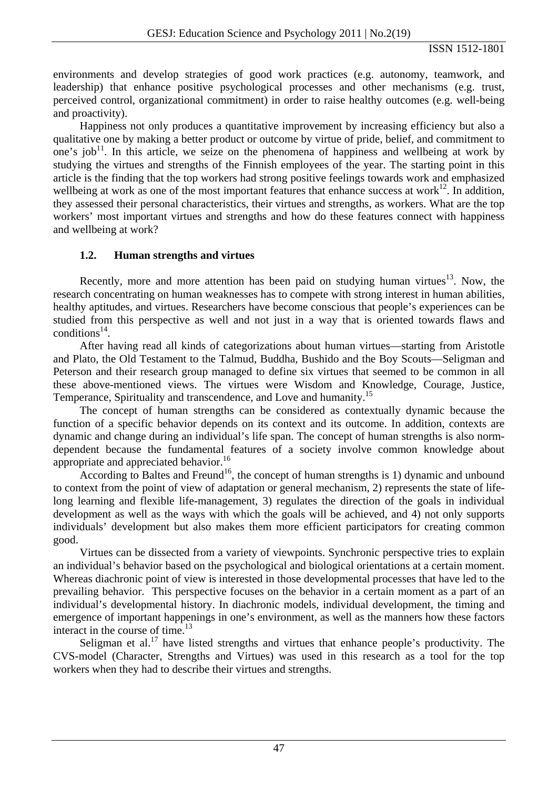environments and develop strategies of good work practices (e.g. autonomy, teamwork, and leadership) that enhance positive psychological processes and other mechanisms (e.g. trust, perceived control, organizational commitment) in order to raise healthy outcomes (e.g. well-being and proactivity).

Happiness not only produces a quantitative improvement by increasing efficiency but also a qualitative one by making a better product or outcome by virtue of pride, belief, and commitment to one's job<sup>11</sup>. In this article, we seize on the phenomena of happiness and wellbeing at work by studying the virtues and strengths of the Finnish employees of the year. The starting point in this article is the finding that the top workers had strong positive feelings towards work and emphasized wellbeing at work as one of the most important features that enhance success at work $^{12}$ . In addition, they assessed their personal characteristics, their virtues and strengths, as workers. What are the top workers' most important virtues and strengths and how do these features connect with happiness and wellbeing at work?

## **1.2. Human strengths and virtues**

Recently, more and more attention has been paid on studying human virtues<sup>13</sup>. Now, the research concentrating on human weaknesses has to compete with strong interest in human abilities, healthy aptitudes, and virtues. Researchers have become conscious that people's experiences can be studied from this perspective as well and not just in a way that is oriented towards flaws and conditions<sup>14</sup>.

After having read all kinds of categorizations about human virtues—starting from Aristotle and Plato, the Old Testament to the Talmud, Buddha, Bushido and the Boy Scouts—Seligman and Peterson and their research group managed to define six virtues that seemed to be common in all these above-mentioned views. The virtues were Wisdom and Knowledge, Courage, Justice, Temperance, Spirituality and transcendence, and Love and humanity.<sup>15</sup>

The concept of human strengths can be considered as contextually dynamic because the function of a specific behavior depends on its context and its outcome. In addition, contexts are dynamic and change during an individual's life span. The concept of human strengths is also normdependent because the fundamental features of a society involve common knowledge about appropriate and appreciated behavior.<sup>16</sup>

According to Baltes and Freund<sup>16</sup>, the concept of human strengths is 1) dynamic and unbound to context from the point of view of adaptation or general mechanism, 2) represents the state of lifelong learning and flexible life-management, 3) regulates the direction of the goals in individual development as well as the ways with which the goals will be achieved, and 4) not only supports individuals' development but also makes them more efficient participators for creating common good.

Virtues can be dissected from a variety of viewpoints. Synchronic perspective tries to explain an individual's behavior based on the psychological and biological orientations at a certain moment. Whereas diachronic point of view is interested in those developmental processes that have led to the prevailing behavior. This perspective focuses on the behavior in a certain moment as a part of an individual's developmental history. In diachronic models, individual development, the timing and emergence of important happenings in one's environment, as well as the manners how these factors interact in the course of time.<sup>13</sup>

Seligman et al.<sup>17</sup> have listed strengths and virtues that enhance people's productivity. The CVS-model (Character, Strengths and Virtues) was used in this research as a tool for the top workers when they had to describe their virtues and strengths.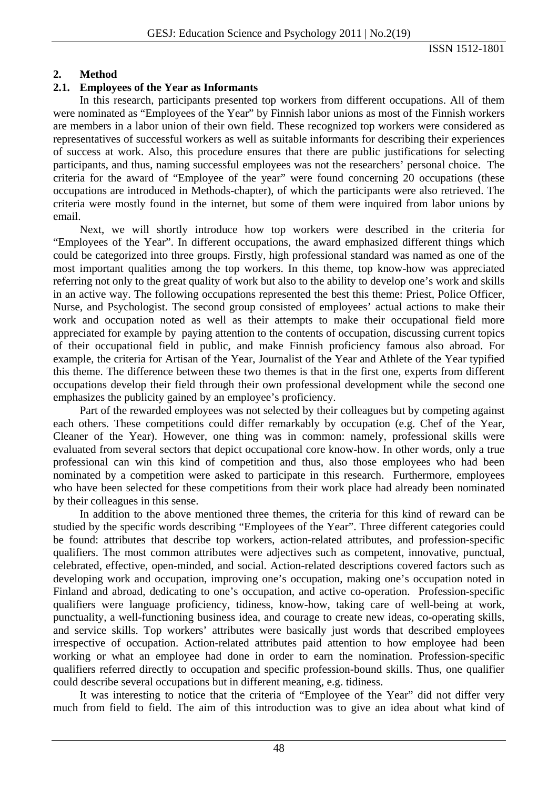### **2. Method**

### **2.1. Employees of the Year as Informants**

In this research, participants presented top workers from different occupations. All of them were nominated as "Employees of the Year" by Finnish labor unions as most of the Finnish workers are members in a labor union of their own field. These recognized top workers were considered as representatives of successful workers as well as suitable informants for describing their experiences of success at work. Also, this procedure ensures that there are public justifications for selecting participants, and thus, naming successful employees was not the researchers' personal choice. The criteria for the award of "Employee of the year" were found concerning 20 occupations (these occupations are introduced in Methods-chapter), of which the participants were also retrieved. The criteria were mostly found in the internet, but some of them were inquired from labor unions by email.

Next, we will shortly introduce how top workers were described in the criteria for "Employees of the Year". In different occupations, the award emphasized different things which could be categorized into three groups. Firstly, high professional standard was named as one of the most important qualities among the top workers. In this theme, top know-how was appreciated referring not only to the great quality of work but also to the ability to develop one's work and skills in an active way. The following occupations represented the best this theme: Priest, Police Officer, Nurse, and Psychologist. The second group consisted of employees' actual actions to make their work and occupation noted as well as their attempts to make their occupational field more appreciated for example by paying attention to the contents of occupation, discussing current topics of their occupational field in public, and make Finnish proficiency famous also abroad. For example, the criteria for Artisan of the Year, Journalist of the Year and Athlete of the Year typified this theme. The difference between these two themes is that in the first one, experts from different occupations develop their field through their own professional development while the second one emphasizes the publicity gained by an employee's proficiency.

Part of the rewarded employees was not selected by their colleagues but by competing against each others. These competitions could differ remarkably by occupation (e.g. Chef of the Year, Cleaner of the Year). However, one thing was in common: namely, professional skills were evaluated from several sectors that depict occupational core know-how. In other words, only a true professional can win this kind of competition and thus, also those employees who had been nominated by a competition were asked to participate in this research. Furthermore, employees who have been selected for these competitions from their work place had already been nominated by their colleagues in this sense.

In addition to the above mentioned three themes, the criteria for this kind of reward can be studied by the specific words describing "Employees of the Year". Three different categories could be found: attributes that describe top workers, action-related attributes, and profession-specific qualifiers. The most common attributes were adjectives such as competent, innovative, punctual, celebrated, effective, open-minded, and social. Action-related descriptions covered factors such as developing work and occupation, improving one's occupation, making one's occupation noted in Finland and abroad, dedicating to one's occupation, and active co-operation. Profession-specific qualifiers were language proficiency, tidiness, know-how, taking care of well-being at work, punctuality, a well-functioning business idea, and courage to create new ideas, co-operating skills, and service skills. Top workers' attributes were basically just words that described employees irrespective of occupation. Action-related attributes paid attention to how employee had been working or what an employee had done in order to earn the nomination. Profession-specific qualifiers referred directly to occupation and specific profession-bound skills. Thus, one qualifier could describe several occupations but in different meaning, e.g. tidiness.

It was interesting to notice that the criteria of "Employee of the Year" did not differ very much from field to field. The aim of this introduction was to give an idea about what kind of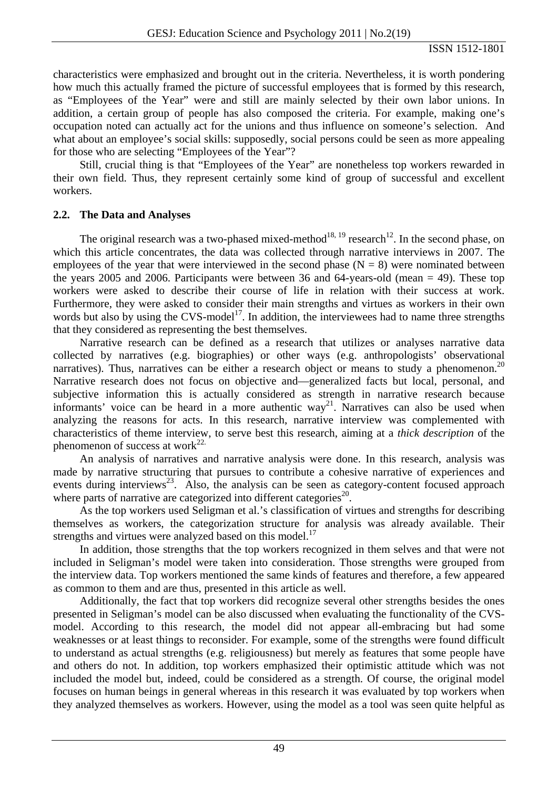characteristics were emphasized and brought out in the criteria. Nevertheless, it is worth pondering how much this actually framed the picture of successful employees that is formed by this research, as "Employees of the Year" were and still are mainly selected by their own labor unions. In addition, a certain group of people has also composed the criteria. For example, making one's occupation noted can actually act for the unions and thus influence on someone's selection. And what about an employee's social skills: supposedly, social persons could be seen as more appealing for those who are selecting "Employees of the Year"?

Still, crucial thing is that "Employees of the Year" are nonetheless top workers rewarded in their own field. Thus, they represent certainly some kind of group of successful and excellent workers.

## **2.2. The Data and Analyses**

The original research was a two-phased mixed-method<sup>18, 19</sup> research<sup>12</sup>. In the second phase, on which this article concentrates, the data was collected through narrative interviews in 2007. The employees of the year that were interviewed in the second phase  $(N = 8)$  were nominated between the years 2005 and 2006. Participants were between 36 and 64-years-old (mean  $= 49$ ). These top workers were asked to describe their course of life in relation with their success at work. Furthermore, they were asked to consider their main strengths and virtues as workers in their own words but also by using the CVS-model<sup>17</sup>. In addition, the interviewees had to name three strengths that they considered as representing the best themselves.

Narrative research can be defined as a research that utilizes or analyses narrative data collected by narratives (e.g. biographies) or other ways (e.g. anthropologists' observational narratives). Thus, narratives can be either a research object or means to study a phenomenon.<sup>20</sup> Narrative research does not focus on objective and—generalized facts but local, personal, and subjective information this is actually considered as strength in narrative research because informants' voice can be heard in a more authentic  $way^{21}$ . Narratives can also be used when analyzing the reasons for acts. In this research, narrative interview was complemented with characteristics of theme interview, to serve best this research, aiming at a *thick description* of the phenomenon of success at work $^{22}$ .

An analysis of narratives and narrative analysis were done. In this research, analysis was made by narrative structuring that pursues to contribute a cohesive narrative of experiences and events during interviews<sup>23</sup>. Also, the analysis can be seen as category-content focused approach where parts of narrative are categorized into different categories $^{20}$ .

As the top workers used Seligman et al.'s classification of virtues and strengths for describing themselves as workers, the categorization structure for analysis was already available. Their strengths and virtues were analyzed based on this model.<sup>17</sup>

In addition, those strengths that the top workers recognized in them selves and that were not included in Seligman's model were taken into consideration. Those strengths were grouped from the interview data. Top workers mentioned the same kinds of features and therefore, a few appeared as common to them and are thus, presented in this article as well.

Additionally, the fact that top workers did recognize several other strengths besides the ones presented in Seligman's model can be also discussed when evaluating the functionality of the CVSmodel. According to this research, the model did not appear all-embracing but had some weaknesses or at least things to reconsider. For example, some of the strengths were found difficult to understand as actual strengths (e.g. religiousness) but merely as features that some people have and others do not. In addition, top workers emphasized their optimistic attitude which was not included the model but, indeed, could be considered as a strength. Of course, the original model focuses on human beings in general whereas in this research it was evaluated by top workers when they analyzed themselves as workers. However, using the model as a tool was seen quite helpful as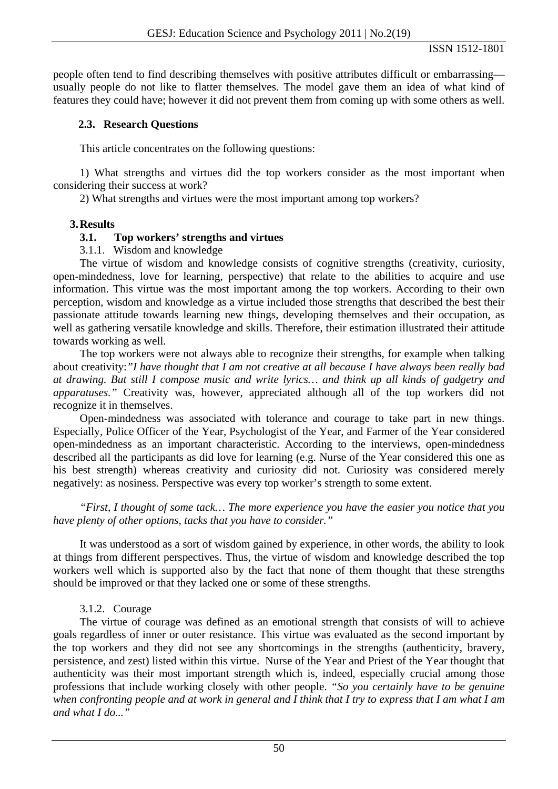people often tend to find describing themselves with positive attributes difficult or embarrassing usually people do not like to flatter themselves. The model gave them an idea of what kind of features they could have; however it did not prevent them from coming up with some others as well.

## **2.3. Research Questions**

This article concentrates on the following questions:

1) What strengths and virtues did the top workers consider as the most important when considering their success at work?

2) What strengths and virtues were the most important among top workers?

## **3.Results**

# **3.1. Top workers' strengths and virtues**

3.1.1. Wisdom and knowledge

The virtue of wisdom and knowledge consists of cognitive strengths (creativity, curiosity, open-mindedness, love for learning, perspective) that relate to the abilities to acquire and use information. This virtue was the most important among the top workers. According to their own perception, wisdom and knowledge as a virtue included those strengths that described the best their passionate attitude towards learning new things, developing themselves and their occupation, as well as gathering versatile knowledge and skills. Therefore, their estimation illustrated their attitude towards working as well.

The top workers were not always able to recognize their strengths, for example when talking about creativity:*"I have thought that I am not creative at all because I have always been really bad at drawing. But still I compose music and write lyrics… and think up all kinds of gadgetry and apparatuses."* Creativity was, however, appreciated although all of the top workers did not recognize it in themselves.

Open-mindedness was associated with tolerance and courage to take part in new things. Especially, Police Officer of the Year, Psychologist of the Year, and Farmer of the Year considered open-mindedness as an important characteristic. According to the interviews, open-mindedness described all the participants as did love for learning (e.g. Nurse of the Year considered this one as his best strength) whereas creativity and curiosity did not. Curiosity was considered merely negatively: as nosiness. Perspective was every top worker's strength to some extent.

*"First, I thought of some tack… The more experience you have the easier you notice that you have plenty of other options, tacks that you have to consider."* 

It was understood as a sort of wisdom gained by experience, in other words, the ability to look at things from different perspectives. Thus, the virtue of wisdom and knowledge described the top workers well which is supported also by the fact that none of them thought that these strengths should be improved or that they lacked one or some of these strengths.

# 3.1.2. Courage

The virtue of courage was defined as an emotional strength that consists of will to achieve goals regardless of inner or outer resistance. This virtue was evaluated as the second important by the top workers and they did not see any shortcomings in the strengths (authenticity, bravery, persistence, and zest) listed within this virtue. Nurse of the Year and Priest of the Year thought that authenticity was their most important strength which is, indeed, especially crucial among those professions that include working closely with other people. *"So you certainly have to be genuine when confronting people and at work in general and I think that I try to express that I am what I am and what I do..."*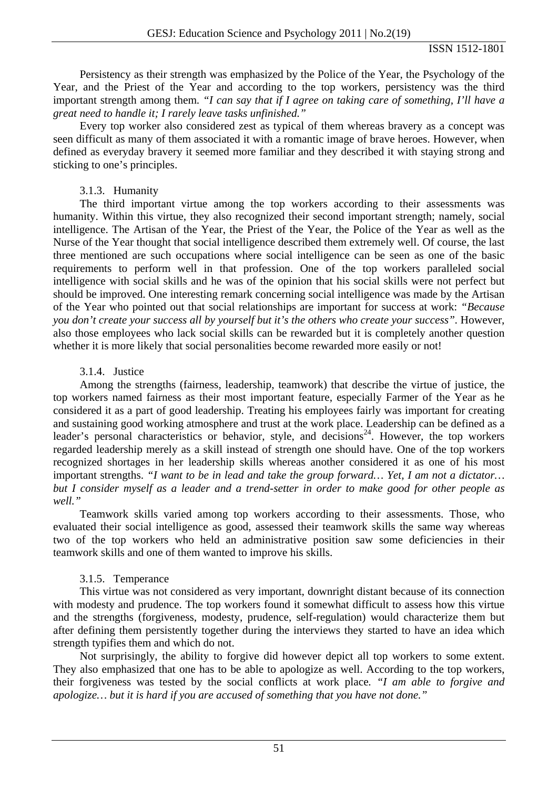Persistency as their strength was emphasized by the Police of the Year, the Psychology of the Year, and the Priest of the Year and according to the top workers, persistency was the third important strength among them. *"I can say that if I agree on taking care of something, I'll have a great need to handle it; I rarely leave tasks unfinished."*

Every top worker also considered zest as typical of them whereas bravery as a concept was seen difficult as many of them associated it with a romantic image of brave heroes. However, when defined as everyday bravery it seemed more familiar and they described it with staying strong and sticking to one's principles.

## 3.1.3. Humanity

The third important virtue among the top workers according to their assessments was humanity. Within this virtue, they also recognized their second important strength; namely, social intelligence. The Artisan of the Year, the Priest of the Year, the Police of the Year as well as the Nurse of the Year thought that social intelligence described them extremely well. Of course, the last three mentioned are such occupations where social intelligence can be seen as one of the basic requirements to perform well in that profession. One of the top workers paralleled social intelligence with social skills and he was of the opinion that his social skills were not perfect but should be improved. One interesting remark concerning social intelligence was made by the Artisan of the Year who pointed out that social relationships are important for success at work: *"Because you don't create your success all by yourself but it's the others who create your success".* However, also those employees who lack social skills can be rewarded but it is completely another question whether it is more likely that social personalities become rewarded more easily or not!

## 3.1.4. Justice

Among the strengths (fairness, leadership, teamwork) that describe the virtue of justice, the top workers named fairness as their most important feature, especially Farmer of the Year as he considered it as a part of good leadership. Treating his employees fairly was important for creating and sustaining good working atmosphere and trust at the work place. Leadership can be defined as a leader's personal characteristics or behavior, style, and decisions<sup>24</sup>. However, the top workers regarded leadership merely as a skill instead of strength one should have. One of the top workers recognized shortages in her leadership skills whereas another considered it as one of his most important strengths. *"I want to be in lead and take the group forward… Yet, I am not a dictator… but I consider myself as a leader and a trend-setter in order to make good for other people as well."* 

Teamwork skills varied among top workers according to their assessments. Those, who evaluated their social intelligence as good, assessed their teamwork skills the same way whereas two of the top workers who held an administrative position saw some deficiencies in their teamwork skills and one of them wanted to improve his skills.

## 3.1.5. Temperance

This virtue was not considered as very important, downright distant because of its connection with modesty and prudence. The top workers found it somewhat difficult to assess how this virtue and the strengths (forgiveness, modesty, prudence, self-regulation) would characterize them but after defining them persistently together during the interviews they started to have an idea which strength typifies them and which do not.

Not surprisingly, the ability to forgive did however depict all top workers to some extent. They also emphasized that one has to be able to apologize as well. According to the top workers, their forgiveness was tested by the social conflicts at work place*. "I am able to forgive and apologize… but it is hard if you are accused of something that you have not done."*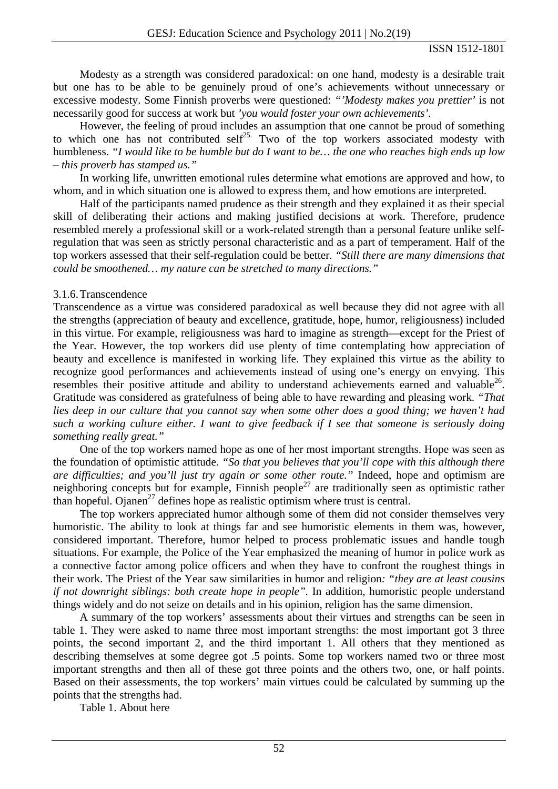Modesty as a strength was considered paradoxical: on one hand, modesty is a desirable trait but one has to be able to be genuinely proud of one's achievements without unnecessary or excessive modesty. Some Finnish proverbs were questioned: *"'Modesty makes you prettier'* is not necessarily good for success at work but *'you would foster your own achievements'.* 

However, the feeling of proud includes an assumption that one cannot be proud of something to which one has not contributed self<sup>25.</sup> Two of the top workers associated modesty with humbleness. *"I would like to be humble but do I want to be… the one who reaches high ends up low – this proverb has stamped us."* 

In working life, unwritten emotional rules determine what emotions are approved and how, to whom, and in which situation one is allowed to express them, and how emotions are interpreted.

Half of the participants named prudence as their strength and they explained it as their special skill of deliberating their actions and making justified decisions at work. Therefore, prudence resembled merely a professional skill or a work-related strength than a personal feature unlike selfregulation that was seen as strictly personal characteristic and as a part of temperament. Half of the top workers assessed that their self-regulation could be better. *"Still there are many dimensions that could be smoothened… my nature can be stretched to many directions."* 

#### 3.1.6.Transcendence

Transcendence as a virtue was considered paradoxical as well because they did not agree with all the strengths (appreciation of beauty and excellence, gratitude, hope, humor, religiousness) included in this virtue. For example, religiousness was hard to imagine as strength—except for the Priest of the Year. However, the top workers did use plenty of time contemplating how appreciation of beauty and excellence is manifested in working life. They explained this virtue as the ability to recognize good performances and achievements instead of using one's energy on envying. This resembles their positive attitude and ability to understand achievements earned and valuable<sup>26</sup>. Gratitude was considered as gratefulness of being able to have rewarding and pleasing work. *"That lies deep in our culture that you cannot say when some other does a good thing; we haven't had such a working culture either. I want to give feedback if I see that someone is seriously doing something really great."* 

One of the top workers named hope as one of her most important strengths. Hope was seen as the foundation of optimistic attitude. *"So that you believes that you'll cope with this although there are difficulties; and you'll just try again or some other route."* Indeed, hope and optimism are neighboring concepts but for example, Finnish people<sup>27</sup> are traditionally seen as optimistic rather than hopeful. Ojanen<sup>27</sup> defines hope as realistic optimism where trust is central.

The top workers appreciated humor although some of them did not consider themselves very humoristic. The ability to look at things far and see humoristic elements in them was, however, considered important. Therefore, humor helped to process problematic issues and handle tough situations. For example, the Police of the Year emphasized the meaning of humor in police work as a connective factor among police officers and when they have to confront the roughest things in their work. The Priest of the Year saw similarities in humor and religion*: "they are at least cousins if not downright siblings: both create hope in people".* In addition, humoristic people understand things widely and do not seize on details and in his opinion, religion has the same dimension.

A summary of the top workers' assessments about their virtues and strengths can be seen in table 1. They were asked to name three most important strengths: the most important got 3 three points, the second important 2, and the third important 1. All others that they mentioned as describing themselves at some degree got .5 points. Some top workers named two or three most important strengths and then all of these got three points and the others two, one, or half points. Based on their assessments, the top workers' main virtues could be calculated by summing up the points that the strengths had.

Table 1. About here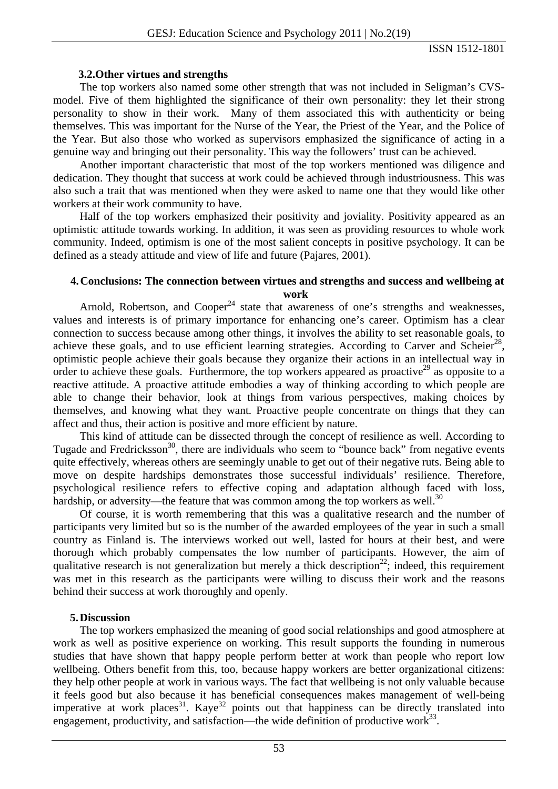### **3.2.Other virtues and strengths**

The top workers also named some other strength that was not included in Seligman's CVSmodel. Five of them highlighted the significance of their own personality: they let their strong personality to show in their work. Many of them associated this with authenticity or being themselves. This was important for the Nurse of the Year, the Priest of the Year, and the Police of the Year. But also those who worked as supervisors emphasized the significance of acting in a genuine way and bringing out their personality. This way the followers' trust can be achieved.

Another important characteristic that most of the top workers mentioned was diligence and dedication. They thought that success at work could be achieved through industriousness. This was also such a trait that was mentioned when they were asked to name one that they would like other workers at their work community to have.

Half of the top workers emphasized their positivity and joviality. Positivity appeared as an optimistic attitude towards working. In addition, it was seen as providing resources to whole work community. Indeed, optimism is one of the most salient concepts in positive psychology. It can be defined as a steady attitude and view of life and future (Pajares, 2001).

#### **4.Conclusions: The connection between virtues and strengths and success and wellbeing at work**

Arnold, Robertson, and Cooper<sup>24</sup> state that awareness of one's strengths and weaknesses. values and interests is of primary importance for enhancing one's career. Optimism has a clear connection to success because among other things, it involves the ability to set reasonable goals, to achieve these goals, and to use efficient learning strategies. According to Carver and Scheier<sup>28</sup>, optimistic people achieve their goals because they organize their actions in an intellectual way in order to achieve these goals. Furthermore, the top workers appeared as proactive<sup>29</sup> as opposite to a reactive attitude. A proactive attitude embodies a way of thinking according to which people are able to change their behavior, look at things from various perspectives, making choices by themselves, and knowing what they want. Proactive people concentrate on things that they can affect and thus, their action is positive and more efficient by nature.

This kind of attitude can be dissected through the concept of resilience as well. According to Tugade and Fredricksson<sup>30</sup>, there are individuals who seem to "bounce back" from negative events quite effectively, whereas others are seemingly unable to get out of their negative ruts. Being able to move on despite hardships demonstrates those successful individuals' resilience. Therefore, psychological resilience refers to effective coping and adaptation although faced with loss, hardship, or adversity—the feature that was common among the top workers as well.<sup>30</sup>

Of course, it is worth remembering that this was a qualitative research and the number of participants very limited but so is the number of the awarded employees of the year in such a small country as Finland is. The interviews worked out well, lasted for hours at their best, and were thorough which probably compensates the low number of participants. However, the aim of qualitative research is not generalization but merely a thick description<sup>22</sup>; indeed, this requirement was met in this research as the participants were willing to discuss their work and the reasons behind their success at work thoroughly and openly.

#### **5.Discussion**

The top workers emphasized the meaning of good social relationships and good atmosphere at work as well as positive experience on working. This result supports the founding in numerous studies that have shown that happy people perform better at work than people who report low wellbeing. Others benefit from this, too, because happy workers are better organizational citizens: they help other people at work in various ways. The fact that wellbeing is not only valuable because it feels good but also because it has beneficial consequences makes management of well-being imperative at work places<sup>31</sup>. Kaye<sup>32</sup> points out that happiness can be directly translated into engagement, productivity, and satisfaction—the wide definition of productive work $^{33}$ .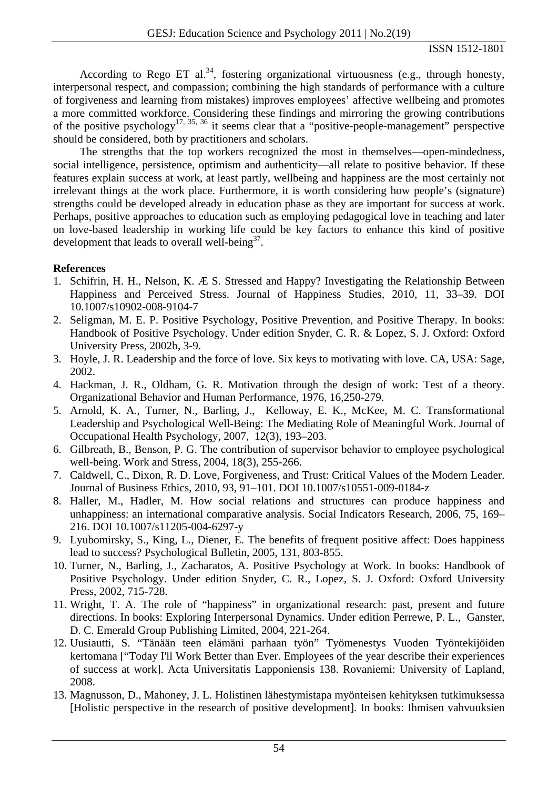According to Rego ET al.<sup>34</sup>, fostering organizational virtuousness (e.g., through honesty, interpersonal respect, and compassion; combining the high standards of performance with a culture of forgiveness and learning from mistakes) improves employees' affective wellbeing and promotes a more committed workforce. Considering these findings and mirroring the growing contributions of the positive psychology<sup>17, 35, 36</sup> it seems clear that a "positive-people-management" perspective should be considered, both by practitioners and scholars.

The strengths that the top workers recognized the most in themselves—open-mindedness, social intelligence, persistence, optimism and authenticity—all relate to positive behavior. If these features explain success at work, at least partly, wellbeing and happiness are the most certainly not irrelevant things at the work place. Furthermore, it is worth considering how people's (signature) strengths could be developed already in education phase as they are important for success at work. Perhaps, positive approaches to education such as employing pedagogical love in teaching and later on love-based leadership in working life could be key factors to enhance this kind of positive development that leads to overall well-being  $37$ .

# **References**

- 1. Schifrin, H. H., Nelson, K. Æ S. Stressed and Happy? Investigating the Relationship Between Happiness and Perceived Stress. Journal of Happiness Studies, 2010, 11, 33–39. DOI 10.1007/s10902-008-9104-7
- 2. Seligman, M. E. P. Positive Psychology, Positive Prevention, and Positive Therapy. In books: Handbook of Positive Psychology. Under edition Snyder, C. R. & Lopez, S. J. Oxford: Oxford University Press, 2002b, 3-9.
- 3. Hoyle, J. R. Leadership and the force of love. Six keys to motivating with love. CA, USA: Sage, 2002.
- 4. Hackman, J. R., Oldham, G. R. Motivation through the design of work: Test of a theory. Organizational Behavior and Human Performance, 1976, 16,250-279.
- 5. Arnold, K. A., Turner, N., Barling, J., Kelloway, E. K., McKee, M. C. Transformational Leadership and Psychological Well-Being: The Mediating Role of Meaningful Work. Journal of Occupational Health Psychology, 2007, 12(3), 193–203.
- 6. Gilbreath, B., Benson, P. G. The contribution of supervisor behavior to employee psychological well-being. Work and Stress, 2004, 18(3), 255-266.
- 7. Caldwell, C., Dixon, R. D. Love, Forgiveness, and Trust: Critical Values of the Modern Leader. Journal of Business Ethics, 2010, 93, 91–101. DOI 10.1007/s10551-009-0184-z
- 8. Haller, M., Hadler, M. How social relations and structures can produce happiness and unhappiness: an international comparative analysis. Social Indicators Research, 2006, 75, 169– 216. DOI 10.1007/s11205-004-6297-y
- 9. Lyubomirsky, S., King, L., Diener, E. The benefits of frequent positive affect: Does happiness lead to success? Psychological Bulletin, 2005, 131, 803-855.
- 10. Turner, N., Barling, J., Zacharatos, A. Positive Psychology at Work. In books: Handbook of Positive Psychology. Under edition Snyder, C. R., Lopez, S. J. Oxford: Oxford University Press, 2002, 715-728.
- 11. Wright, T. A. The role of "happiness" in organizational research: past, present and future directions. In books: Exploring Interpersonal Dynamics. Under edition Perrewe, P. L., Ganster, D. C. Emerald Group Publishing Limited, 2004, 221-264.
- 12. Uusiautti, S. "Tänään teen elämäni parhaan työn" Työmenestys Vuoden Työntekijöiden kertomana ["Today I'll Work Better than Ever. Employees of the year describe their experiences of success at work]. Acta Universitatis Lapponiensis 138. Rovaniemi: University of Lapland, 2008.
- 13. Magnusson, D., Mahoney, J. L. Holistinen lähestymistapa myönteisen kehityksen tutkimuksessa [Holistic perspective in the research of positive development]. In books: Ihmisen vahvuuksien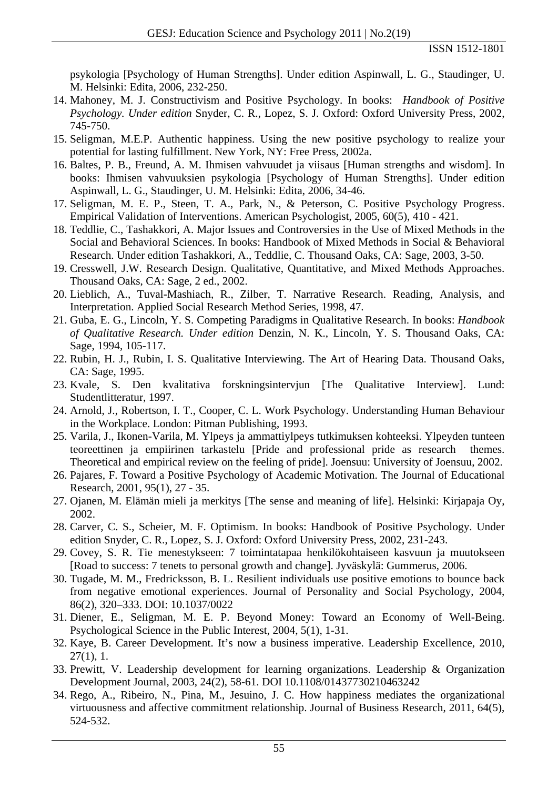psykologia [Psychology of Human Strengths]. Under edition Aspinwall, L. G., Staudinger, U. M. Helsinki: Edita, 2006, 232-250.

- 14. Mahoney, M. J. Constructivism and Positive Psychology. In books: *Handbook of Positive Psychology. Under edition* Snyder, C. R., Lopez, S. J. Oxford: Oxford University Press, 2002, 745-750.
- 15. Seligman, M.E.P. Authentic happiness. Using the new positive psychology to realize your potential for lasting fulfillment. New York, NY: Free Press, 2002a.
- 16. Baltes, P. B., Freund, A. M. Ihmisen vahvuudet ja viisaus [Human strengths and wisdom]. In books: Ihmisen vahvuuksien psykologia [Psychology of Human Strengths]. Under edition Aspinwall, L. G., Staudinger, U. M. Helsinki: Edita, 2006, 34-46.
- 17. Seligman, M. E. P., Steen, T. A., Park, N., & Peterson, C. Positive Psychology Progress. Empirical Validation of Interventions. American Psychologist, 2005, 60(5), 410 - 421.
- 18. Teddlie, C., Tashakkori, A. Major Issues and Controversies in the Use of Mixed Methods in the Social and Behavioral Sciences. In books: Handbook of Mixed Methods in Social & Behavioral Research. Under edition Tashakkori, A., Teddlie, C. Thousand Oaks, CA: Sage, 2003, 3-50.
- 19. Cresswell, J.W. Research Design. Qualitative, Quantitative, and Mixed Methods Approaches. Thousand Oaks, CA: Sage, 2 ed., 2002.
- 20. Lieblich, A., Tuval-Mashiach, R., Zilber, T. Narrative Research. Reading, Analysis, and Interpretation. Applied Social Research Method Series, 1998, 47.
- 21. Guba, E. G., Lincoln, Y. S. Competing Paradigms in Qualitative Research. In books: *Handbook of Qualitative Research. Under edition* Denzin, N. K., Lincoln, Y. S. Thousand Oaks, CA: Sage, 1994, 105-117.
- 22. Rubin, H. J., Rubin, I. S. Qualitative Interviewing. The Art of Hearing Data. Thousand Oaks, CA: Sage, 1995.
- 23. Kvale, S. Den kvalitativa forskningsintervjun [The Qualitative Interview]. Lund: Studentlitteratur, 1997.
- 24. Arnold, J., Robertson, I. T., Cooper, C. L. Work Psychology. Understanding Human Behaviour in the Workplace. London: Pitman Publishing, 1993.
- 25. Varila, J., Ikonen-Varila, M. Ylpeys ja ammattiylpeys tutkimuksen kohteeksi. Ylpeyden tunteen teoreettinen ja empiirinen tarkastelu [Pride and professional pride as research themes. Theoretical and empirical review on the feeling of pride]. Joensuu: University of Joensuu, 2002.
- 26. Pajares, F. Toward a Positive Psychology of Academic Motivation. The Journal of Educational Research, 2001, 95(1), 27 - 35.
- 27. Ojanen, M. Elämän mieli ja merkitys [The sense and meaning of life]. Helsinki: Kirjapaja Oy, 2002.
- 28. Carver, C. S., Scheier, M. F. Optimism. In books: Handbook of Positive Psychology. Under edition Snyder, C. R., Lopez, S. J. Oxford: Oxford University Press, 2002, 231-243.
- 29. Covey, S. R. Tie menestykseen: 7 toimintatapaa henkilökohtaiseen kasvuun ja muutokseen [Road to success: 7 tenets to personal growth and change]. Jyväskylä: Gummerus, 2006.
- 30. Tugade, M. M., Fredricksson, B. L. Resilient individuals use positive emotions to bounce back from negative emotional experiences. Journal of Personality and Social Psychology, 2004, 86(2), 320–333. DOI: 10.1037/0022
- 31. Diener, E., Seligman, M. E. P. Beyond Money: Toward an Economy of Well-Being. Psychological Science in the Public Interest, 2004, 5(1), 1-31.
- 32. Kaye, B. Career Development. It's now a business imperative. Leadership Excellence, 2010, 27(1), 1.
- 33. Prewitt, V. Leadership development for learning organizations. Leadership & Organization Development Journal, 2003, 24(2), 58-61. DOI 10.1108/01437730210463242
- 34. Rego, A., Ribeiro, N., Pina, M., Jesuino, J. C. How happiness mediates the organizational virtuousness and affective commitment relationship. Journal of Business Research, 2011, 64(5), 524-532.